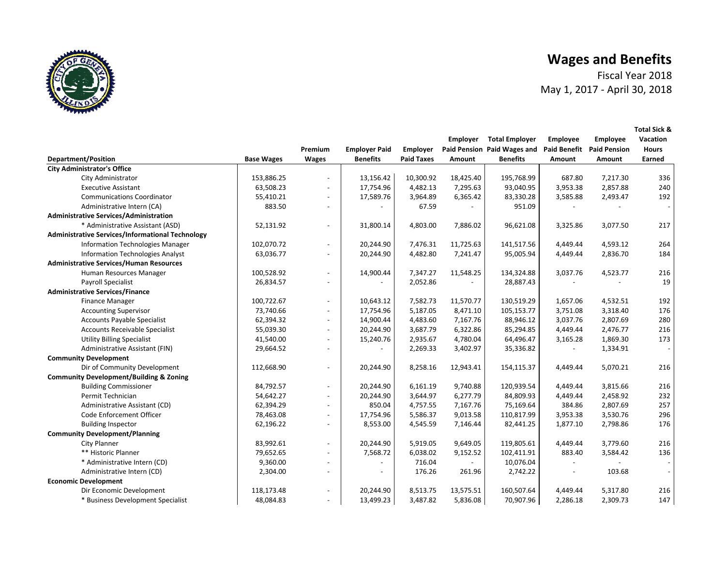Fiscal Year 2018 May 1, 2017 ‐ April 30, 2018

**Total Sick &** 

|                                                         |                   |                          |                      |                   | Employer  | <b>Total Employer</b>       | Employee                 | <b>Employee</b>     | Vacation     |
|---------------------------------------------------------|-------------------|--------------------------|----------------------|-------------------|-----------|-----------------------------|--------------------------|---------------------|--------------|
|                                                         |                   | Premium                  | <b>Employer Paid</b> | Employer          |           | Paid Pension Paid Wages and | <b>Paid Benefit</b>      | <b>Paid Pension</b> | <b>Hours</b> |
| <b>Department/Position</b>                              | <b>Base Wages</b> | <b>Wages</b>             | <b>Benefits</b>      | <b>Paid Taxes</b> | Amount    | <b>Benefits</b>             | Amount                   | Amount              | Earned       |
| <b>City Administrator's Office</b>                      |                   |                          |                      |                   |           |                             |                          |                     |              |
| City Administrator                                      | 153,886.25        |                          | 13,156.42            | 10,300.92         | 18,425.40 | 195,768.99                  | 687.80                   | 7,217.30            | 336          |
| <b>Executive Assistant</b>                              | 63,508.23         | $\overline{a}$           | 17,754.96            | 4,482.13          | 7,295.63  | 93,040.95                   | 3,953.38                 | 2,857.88            | 240          |
| <b>Communications Coordinator</b>                       | 55,410.21         | $\overline{a}$           | 17,589.76            | 3,964.89          | 6,365.42  | 83,330.28                   | 3,585.88                 | 2,493.47            | 192          |
| Administrative Intern (CA)                              | 883.50            | $\overline{a}$           |                      | 67.59             |           | 951.09                      |                          |                     |              |
| <b>Administrative Services/Administration</b>           |                   |                          |                      |                   |           |                             |                          |                     |              |
| * Administrative Assistant (ASD)                        | 52,131.92         |                          | 31,800.14            | 4,803.00          | 7,886.02  | 96,621.08                   | 3,325.86                 | 3,077.50            | 217          |
| <b>Administrative Services/Informational Technology</b> |                   |                          |                      |                   |           |                             |                          |                     |              |
| Information Technologies Manager                        | 102,070.72        |                          | 20,244.90            | 7,476.31          | 11,725.63 | 141,517.56                  | 4,449.44                 | 4,593.12            | 264          |
| <b>Information Technologies Analyst</b>                 | 63,036.77         |                          | 20,244.90            | 4,482.80          | 7,241.47  | 95,005.94                   | 4,449.44                 | 2,836.70            | 184          |
| <b>Administrative Services/Human Resources</b>          |                   |                          |                      |                   |           |                             |                          |                     |              |
| Human Resources Manager                                 | 100,528.92        |                          | 14,900.44            | 7,347.27          | 11,548.25 | 134,324.88                  | 3,037.76                 | 4,523.77            | 216          |
| <b>Payroll Specialist</b>                               | 26,834.57         | $\overline{\phantom{a}}$ |                      | 2,052.86          |           | 28,887.43                   |                          |                     | 19           |
| <b>Administrative Services/Finance</b>                  |                   |                          |                      |                   |           |                             |                          |                     |              |
| <b>Finance Manager</b>                                  | 100,722.67        | $\overline{a}$           | 10,643.12            | 7,582.73          | 11,570.77 | 130,519.29                  | 1,657.06                 | 4,532.51            | 192          |
| <b>Accounting Supervisor</b>                            | 73,740.66         | $\overline{a}$           | 17,754.96            | 5,187.05          | 8,471.10  | 105,153.77                  | 3,751.08                 | 3,318.40            | 176          |
| <b>Accounts Payable Specialist</b>                      | 62,394.32         | $\overline{a}$           | 14,900.44            | 4,483.60          | 7,167.76  | 88,946.12                   | 3,037.76                 | 2,807.69            | 280          |
| Accounts Receivable Specialist                          | 55,039.30         | $\overline{\phantom{a}}$ | 20,244.90            | 3,687.79          | 6,322.86  | 85,294.85                   | 4,449.44                 | 2,476.77            | 216          |
| <b>Utility Billing Specialist</b>                       | 41,540.00         | $\overline{a}$           | 15,240.76            | 2,935.67          | 4,780.04  | 64,496.47                   | 3,165.28                 | 1,869.30            | 173          |
| Administrative Assistant (FIN)                          | 29,664.52         |                          |                      | 2,269.33          | 3,402.97  | 35,336.82                   |                          | 1,334.91            |              |
| <b>Community Development</b>                            |                   |                          |                      |                   |           |                             |                          |                     |              |
| Dir of Community Development                            | 112,668.90        | $\overline{\phantom{a}}$ | 20,244.90            | 8,258.16          | 12,943.41 | 154,115.37                  | 4.449.44                 | 5,070.21            | 216          |
| <b>Community Development/Building &amp; Zoning</b>      |                   |                          |                      |                   |           |                             |                          |                     |              |
| <b>Building Commissioner</b>                            | 84,792.57         | $\overline{a}$           | 20,244.90            | 6,161.19          | 9,740.88  | 120,939.54                  | 4,449.44                 | 3,815.66            | 216          |
| Permit Technician                                       | 54,642.27         | $\overline{\phantom{a}}$ | 20,244.90            | 3,644.97          | 6,277.79  | 84.809.93                   | 4,449.44                 | 2,458.92            | 232          |
| Administrative Assistant (CD)                           | 62,394.29         | $\overline{\phantom{a}}$ | 850.04               | 4,757.55          | 7,167.76  | 75,169.64                   | 384.86                   | 2,807.69            | 257          |
| Code Enforcement Officer                                | 78,463.08         | $\overline{a}$           | 17,754.96            | 5,586.37          | 9,013.58  | 110,817.99                  | 3,953.38                 | 3,530.76            | 296          |
| <b>Building Inspector</b>                               | 62,196.22         | $\overline{a}$           | 8,553.00             | 4,545.59          | 7,146.44  | 82,441.25                   | 1,877.10                 | 2,798.86            | 176          |
| <b>Community Development/Planning</b>                   |                   |                          |                      |                   |           |                             |                          |                     |              |
| City Planner                                            | 83,992.61         | $\overline{\phantom{a}}$ | 20,244.90            | 5,919.05          | 9,649.05  | 119,805.61                  | 4,449.44                 | 3,779.60            | 216          |
| ** Historic Planner                                     | 79,652.65         | $\overline{a}$           | 7,568.72             | 6,038.02          | 9,152.52  | 102,411.91                  | 883.40                   | 3,584.42            | 136          |
| * Administrative Intern (CD)                            | 9,360.00          | $\overline{\phantom{a}}$ |                      | 716.04            |           | 10,076.04                   | $\overline{\phantom{a}}$ |                     |              |
| Administrative Intern (CD)                              | 2,304.00          | $\overline{\phantom{a}}$ |                      | 176.26            | 261.96    | 2,742.22                    |                          | 103.68              |              |
| <b>Economic Development</b>                             |                   |                          |                      |                   |           |                             |                          |                     |              |
| Dir Economic Development                                | 118,173.48        | $\overline{a}$           | 20,244.90            | 8,513.75          | 13,575.51 | 160,507.64                  | 4,449.44                 | 5,317.80            | 216          |
| * Business Development Specialist                       | 48,084.83         | $\overline{a}$           | 13,499.23            | 3,487.82          | 5,836.08  | 70,907.96                   | 2,286.18                 | 2,309.73            | 147          |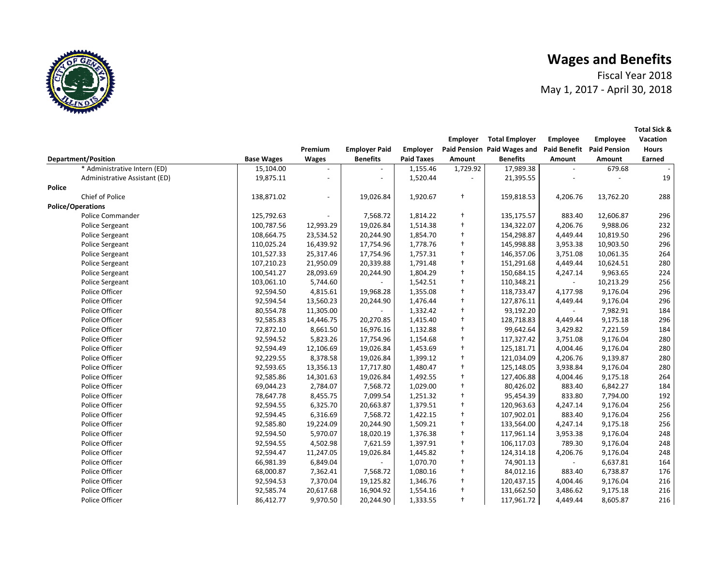Fiscal Year 2018May 1, 2017 ‐ April 30, 2018

**Total Sick &** 

**Department/Position**<br> **Base Wages Premium Wages Employer Paid Benefits Employer Paid Taxes Employer Paid Pension Paid Wages and Amount Total Employer Benefits Employee Paid Benefit Amount Employee Paid Pension Amount Vacation Hours Earned**\* Administrative Intern (ED) 15,104.00 ‐ ‐ 1, 1,729.92 155.46 17,989.38 ‐ 679.68 ‐ Administrative Assistant (ED) 19,875.11 ‐ ‐ 1, ‐ 520.44 21, ‐ 395.55 ‐ 19 **Police**Chief of Police 138,871.02 ‐ 19, 1, 026.84 † 159,818.53 920.67 4,206.76 13,762.20 288 **Police/Operations** Police Commander 125,792.63 ‐ 7, 1, 568.72 † 135,175.57 814.22 883.40 12,606.87 296 Police Sergeant 100,787.56 12,993.29 19,026.84 1, † 134,322.07 514.38 4,206.76 9,988.06 232 Police Sergeant 108,664.75 23,534.52 20,244.90 1, † 154,298.87 854.70 4,449.44 10,819.50 296 Police Sergeant 110,025.24 16,439.92 17,754.96 1, † 145,998.88 778.76 3,953.38 10,903.50 296 Police Sergeant 101,527.33 25,317.46 17,754.96 1, † 146,357.06 757.31 3,751.08 10,061.35 264 Police Sergeant 107,210.23 21,950.09 20,339.88 1, † 151,291.68 791.48 4,449.44 10,624.51 280 Police Sergeant 100,541.27 28,093.69 20,244.90 1, † 150,684.15 804.29 4,247.14 9,963.65 224 Police Sergeant 103,061.10 5,744.60 ‐ 1, † 110,348.21 542.51 ‐ 10,213.29 256 Police Officer 92,594.50 4, 19, 815.61 1, 968.28 † 118,733.47 355.08 4,177.98 9,176.04 296 Police Officer 92,594.54 13, 20,244.90 560.23 1, † 127,876.11 476.44 4,449.44 9,176.04 296 Police Officer | 80,554.78 11,305.00 | - | 1,332.42 † | 93,192.20 | - 7,982.91 184 Police Officer 92,585.83 14, 20,270.85 446.75 1, † 128,718.83 415.40 4,449.44 9,175.18 296 Police Officer 72,872.10 8, 16, 661.50 1, 976.16 † 99,642.64 132.88 3, 7,221.59 429.82 184 Police Officer 92,594.52 5, 17, 823.26 1, 754.96 † 117,327.42 154.68 3,751.08 9,176.04 280 Police Officer 92,594.49 12, 19,026.84 106.69 1, † 125,181.71 453.69 4,004.46 9,176.04 280 Police Officer 92,229.55 8, 19, 378.58 1, 026.84 † 121,034.09 399.12 4,206.76 9,139.87 280 Police Officer 92,593.65 13, 17,717.80 356.13 1, † 125,148.05 480.47 3,938.84 9,176.04 280 Police Officer 92,585.86 14, 19,026.84 301.63 1, † 127,406.88 492.55 4,004.46 9,175.18 264 Police Officer 69,044.23 2, 7, 784.07 1, 568.72 † 80,426.02 029.00 883.40 6,842.27 184 Police Officer 78,647.78 8, 7, 455.75 1, 099.54 † 95,454.39 251.32 833.80 7,794.00 192 Police Officer 92,594.55 6, 20, 325.70 1, 663.87 † 120,963.63 379.51 4,247.14 9,176.04 256 Police Officer 92,594.45 6, 7, 316.69 1, 568.72 † 107,902.01 422.15 883.40 9,176.04 256 Police Officer 92,585.80 19, 20,244.90 224.09 1, † 133,564.00 509.21 4,247.14 9,175.18 256 Police Officer 92,594.50 5, 18, 970.07 1, 020.19 † 117,961.14 376.38 3,953.38 9,176.04 248 Police Officer 92,594.55 4, 7, 502.98 1, 621.59 † 106,117.03 397.91 789.30 9,176.04 248 Police Officer 92,594.47 11, 19,026.84 247.05 1, † 124,314.18 445.82 4,206.76 9,176.04 248 Police Officer 66,981.39 6, ‐ 849.04 1, † 74,901.13 070.70 ‐ 6,637.81 164 Police Officer 68,000.87 7, 7, 362.41 1, 568.72 † 84,012.16 080.16 883.40 6,738.87 176 Police Officer 92,594.53 7, 19, 370.04 1, 125.82 † 120,437.15 346.76 4,004.46 9,176.04 216 Police Officer 92,585.74 20, 16,904.92 617.68 1, † 131,662.50 554.16 3,486.62 9,175.18 216 Police Officer 86,412.77 9, 20, 970.50 1, 244.90 † 117,961.72 333.55 4,449.44 8,605.87 216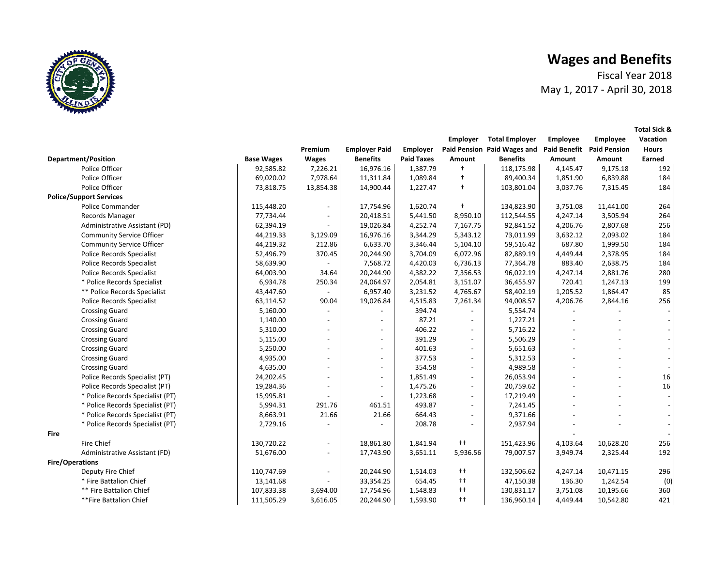Fiscal Year 2018 May 1, 2017 ‐ April 30, 2018

**Total Sick &** 



|                                  |                   |                          |                          |                   | Employer                 | <b>Total Employer</b>       | <b>Employee</b>     | <b>Employee</b>     | Vacation                 |
|----------------------------------|-------------------|--------------------------|--------------------------|-------------------|--------------------------|-----------------------------|---------------------|---------------------|--------------------------|
|                                  |                   | Premium                  | <b>Employer Paid</b>     | Employer          |                          | Paid Pension Paid Wages and | <b>Paid Benefit</b> | <b>Paid Pension</b> | <b>Hours</b>             |
| <b>Department/Position</b>       | <b>Base Wages</b> | <b>Wages</b>             | <b>Benefits</b>          | <b>Paid Taxes</b> | Amount                   | <b>Benefits</b>             | Amount              | Amount              | Earned                   |
| Police Officer                   | 92,585.82         | 7,226.21                 | 16,976.16                | 1,387.79          | $\ddot{\phantom{1}}$     | 118,175.98                  | 4,145.47            | 9,175.18            | 192                      |
| Police Officer                   | 69,020.02         | 7,978.64                 | 11,311.84                | 1,089.84          | $\ddagger$               | 89,400.34                   | 1,851.90            | 6,839.88            | 184                      |
| Police Officer                   | 73,818.75         | 13,854.38                | 14,900.44                | 1,227.47          | $\ddot{\phantom{1}}$     | 103,801.04                  | 3,037.76            | 7,315.45            | 184                      |
| <b>Police/Support Services</b>   |                   |                          |                          |                   |                          |                             |                     |                     |                          |
| <b>Police Commander</b>          | 115,448.20        |                          | 17,754.96                | 1,620.74          | $+$                      | 134,823.90                  | 3,751.08            | 11,441.00           | 264                      |
| Records Manager                  | 77,734.44         | $\overline{\phantom{a}}$ | 20,418.51                | 5,441.50          | 8,950.10                 | 112,544.55                  | 4,247.14            | 3,505.94            | 264                      |
| Administrative Assistant (PD)    | 62,394.19         |                          | 19,026.84                | 4,252.74          | 7,167.75                 | 92,841.52                   | 4,206.76            | 2,807.68            | 256                      |
| <b>Community Service Officer</b> | 44,219.33         | 3,129.09                 | 16,976.16                | 3,344.29          | 5,343.12                 | 73,011.99                   | 3,632.12            | 2,093.02            | 184                      |
| <b>Community Service Officer</b> | 44,219.32         | 212.86                   | 6,633.70                 | 3,346.44          | 5,104.10                 | 59,516.42                   | 687.80              | 1,999.50            | 184                      |
| <b>Police Records Specialist</b> | 52,496.79         | 370.45                   | 20,244.90                | 3,704.09          | 6,072.96                 | 82,889.19                   | 4,449.44            | 2,378.95            | 184                      |
| <b>Police Records Specialist</b> | 58,639.90         |                          | 7,568.72                 | 4,420.03          | 6,736.13                 | 77,364.78                   | 883.40              | 2,638.75            | 184                      |
| <b>Police Records Specialist</b> | 64,003.90         | 34.64                    | 20,244.90                | 4,382.22          | 7,356.53                 | 96,022.19                   | 4,247.14            | 2,881.76            | 280                      |
| * Police Records Specialist      | 6,934.78          | 250.34                   | 24,064.97                | 2,054.81          | 3,151.07                 | 36,455.97                   | 720.41              | 1,247.13            | 199                      |
| ** Police Records Specialist     | 43,447.60         |                          | 6,957.40                 | 3,231.52          | 4,765.67                 | 58,402.19                   | 1,205.52            | 1,864.47            | 85                       |
| <b>Police Records Specialist</b> | 63,114.52         | 90.04                    | 19,026.84                | 4,515.83          | 7,261.34                 | 94,008.57                   | 4,206.76            | 2,844.16            | 256                      |
| <b>Crossing Guard</b>            | 5,160.00          | $\blacksquare$           |                          | 394.74            |                          | 5,554.74                    |                     |                     |                          |
| <b>Crossing Guard</b>            | 1,140.00          | $\overline{\phantom{a}}$ | $\overline{\phantom{a}}$ | 87.21             | $\overline{\phantom{0}}$ | 1,227.21                    |                     |                     |                          |
| <b>Crossing Guard</b>            | 5,310.00          | $\overline{\phantom{a}}$ | $\overline{\phantom{0}}$ | 406.22            | $\overline{\phantom{a}}$ | 5,716.22                    |                     |                     |                          |
| <b>Crossing Guard</b>            | 5,115.00          | $\overline{a}$           | $\overline{\phantom{a}}$ | 391.29            | $\overline{a}$           | 5,506.29                    |                     |                     |                          |
| <b>Crossing Guard</b>            | 5,250.00          | $\overline{\phantom{0}}$ | $\overline{\phantom{a}}$ | 401.63            | $\overline{\phantom{a}}$ | 5,651.63                    |                     |                     |                          |
| <b>Crossing Guard</b>            | 4,935.00          | $\overline{\phantom{a}}$ | $\overline{\phantom{a}}$ | 377.53            | $\overline{\phantom{0}}$ | 5,312.53                    |                     |                     |                          |
| <b>Crossing Guard</b>            | 4,635.00          |                          | $\overline{\phantom{a}}$ | 354.58            | $\overline{a}$           | 4,989.58                    |                     |                     |                          |
| Police Records Specialist (PT)   | 24,202.45         | $\overline{\phantom{a}}$ | $\overline{\phantom{a}}$ | 1,851.49          | $\overline{\phantom{a}}$ | 26,053.94                   |                     |                     | 16                       |
| Police Records Specialist (PT)   | 19,284.36         | $\overline{\phantom{a}}$ | $\overline{\phantom{a}}$ | 1,475.26          | $\overline{a}$           | 20,759.62                   |                     |                     | 16                       |
| * Police Records Specialist (PT) | 15,995.81         |                          |                          | 1,223.68          | $\overline{\phantom{a}}$ | 17,219.49                   |                     |                     |                          |
| * Police Records Specialist (PT) | 5,994.31          | 291.76                   | 461.51                   | 493.87            | $\overline{\phantom{0}}$ | 7,241.45                    |                     |                     | $\blacksquare$           |
| * Police Records Specialist (PT) | 8,663.91          | 21.66                    | 21.66                    | 664.43            | $\overline{\phantom{a}}$ | 9,371.66                    |                     |                     | $\overline{\phantom{a}}$ |
| * Police Records Specialist (PT) | 2,729.16          |                          |                          | 208.78            |                          | 2,937.94                    |                     |                     |                          |
| <b>Fire</b>                      |                   |                          |                          |                   |                          |                             |                     |                     |                          |
| Fire Chief                       | 130,720.22        | $\overline{\phantom{0}}$ | 18,861.80                | 1,841.94          | $^{++}$                  | 151,423.96                  | 4,103.64            | 10,628.20           | 256                      |
| Administrative Assistant (FD)    | 51,676.00         | $\blacksquare$           | 17,743.90                | 3,651.11          | 5,936.56                 | 79,007.57                   | 3,949.74            | 2,325.44            | 192                      |
| <b>Fire/Operations</b>           |                   |                          |                          |                   |                          |                             |                     |                     |                          |
| Deputy Fire Chief                | 110,747.69        |                          | 20,244.90                | 1,514.03          | $^{++}$                  | 132,506.62                  | 4,247.14            | 10,471.15           | 296                      |
| * Fire Battalion Chief           | 13,141.68         |                          | 33,354.25                | 654.45            | $^{++}$                  | 47,150.38                   | 136.30              | 1,242.54            | (0)                      |
| ** Fire Battalion Chief          | 107,833.38        | 3,694.00                 | 17,754.96                | 1,548.83          | $^{++}$                  | 130,831.17                  | 3,751.08            | 10,195.66           | 360                      |
| **Fire Battalion Chief           | 111,505.29        | 3,616.05                 | 20,244.90                | 1,593.90          | $^{++}$                  | 136,960.14                  | 4,449.44            | 10,542.80           | 421                      |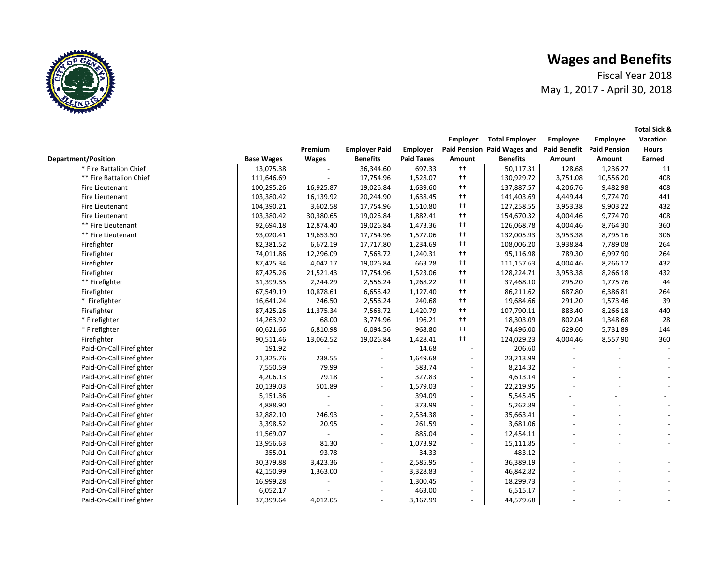Fiscal Year 2018 May 1, 2017 ‐ April 30, 2018

|                            |                   |              |                          |                   | Employer                 | <b>Total Employer</b>       | Employee            | <b>Employee</b>     | Vacation     |  |
|----------------------------|-------------------|--------------|--------------------------|-------------------|--------------------------|-----------------------------|---------------------|---------------------|--------------|--|
|                            |                   | Premium      | <b>Employer Paid</b>     | Employer          |                          | Paid Pension Paid Wages and | <b>Paid Benefit</b> | <b>Paid Pension</b> | <b>Hours</b> |  |
| <b>Department/Position</b> | <b>Base Wages</b> | <b>Wages</b> | <b>Benefits</b>          | <b>Paid Taxes</b> | Amount                   | <b>Benefits</b>             | Amount              | Amount              | Earned       |  |
| * Fire Battalion Chief     | 13,075.38         |              | 36,344.60                | 697.33            | $++$                     | 50,117.31                   | 128.68              | 1,236.27            | 11           |  |
| ** Fire Battalion Chief    | 111,646.69        |              | 17,754.96                | 1,528.07          | $++$                     | 130,929.72                  | 3,751.08            | 10,556.20           | 408          |  |
| Fire Lieutenant            | 100,295.26        | 16,925.87    | 19,026.84                | 1,639.60          | $++$                     | 137,887.57                  | 4,206.76            | 9,482.98            | 408          |  |
| Fire Lieutenant            | 103,380.42        | 16,139.92    | 20,244.90                | 1,638.45          | $++$                     | 141,403.69                  | 4,449.44            | 9,774.70            | 441          |  |
| Fire Lieutenant            | 104,390.21        | 3,602.58     | 17,754.96                | 1,510.80          | $++$                     | 127,258.55                  | 3,953.38            | 9,903.22            | 432          |  |
| Fire Lieutenant            | 103,380.42        | 30,380.65    | 19,026.84                | 1,882.41          | $++$                     | 154,670.32                  | 4,004.46            | 9,774.70            | 408          |  |
| ** Fire Lieutenant         | 92,694.18         | 12,874.40    | 19,026.84                | 1,473.36          | $++$                     | 126,068.78                  | 4,004.46            | 8,764.30            | 360          |  |
| ** Fire Lieutenant         | 93,020.41         | 19,653.50    | 17,754.96                | 1,577.06          | $++$                     | 132,005.93                  | 3,953.38            | 8,795.16            | 306          |  |
| Firefighter                | 82,381.52         | 6,672.19     | 17,717.80                | 1,234.69          | $++$                     | 108,006.20                  | 3,938.84            | 7,789.08            | 264          |  |
| Firefighter                | 74,011.86         | 12,296.09    | 7,568.72                 | 1,240.31          | $++$                     | 95,116.98                   | 789.30              | 6,997.90            | 264          |  |
| Firefighter                | 87,425.34         | 4,042.17     | 19,026.84                | 663.28            | $++$                     | 111,157.63                  | 4,004.46            | 8,266.12            | 432          |  |
| Firefighter                | 87,425.26         | 21,521.43    | 17,754.96                | 1,523.06          | $++$                     | 128,224.71                  | 3,953.38            | 8,266.18            | 432          |  |
| ** Firefighter             | 31,399.35         | 2,244.29     | 2,556.24                 | 1,268.22          | $^{++}$                  | 37,468.10                   | 295.20              | 1,775.76            | 44           |  |
| Firefighter                | 67,549.19         | 10,878.61    | 6,656.42                 | 1,127.40          | $^{++}$                  | 86,211.62                   | 687.80              | 6,386.81            | 264          |  |
| * Firefighter              | 16,641.24         | 246.50       | 2,556.24                 | 240.68            | $^{++}$                  | 19,684.66                   | 291.20              | 1,573.46            | 39           |  |
| Firefighter                | 87,425.26         | 11,375.34    | 7,568.72                 | 1,420.79          | $^{++}$                  | 107,790.11                  | 883.40              | 8,266.18            | 440          |  |
| * Firefighter              | 14,263.92         | 68.00        | 3,774.96                 | 196.21            | $++$                     | 18,303.09                   | 802.04              | 1,348.68            | 28           |  |
| * Firefighter              | 60,621.66         | 6,810.98     | 6,094.56                 | 968.80            | $++$                     | 74,496.00                   | 629.60              | 5,731.89            | 144          |  |
| Firefighter                | 90,511.46         | 13,062.52    | 19,026.84                | 1,428.41          | $++$                     | 124,029.23                  | 4,004.46            | 8,557.90            | 360          |  |
| Paid-On-Call Firefighter   | 191.92            |              |                          | 14.68             |                          | 206.60                      |                     |                     |              |  |
| Paid-On-Call Firefighter   | 21,325.76         | 238.55       |                          | 1,649.68          |                          | 23,213.99                   |                     |                     |              |  |
| Paid-On-Call Firefighter   | 7,550.59          | 79.99        |                          | 583.74            | $\overline{\phantom{a}}$ | 8,214.32                    |                     |                     |              |  |
| Paid-On-Call Firefighter   | 4,206.13          | 79.18        | $\overline{\phantom{a}}$ | 327.83            | $\overline{\phantom{a}}$ | 4,613.14                    |                     |                     |              |  |
| Paid-On-Call Firefighter   | 20,139.03         | 501.89       | $\overline{\phantom{a}}$ | 1,579.03          | $\overline{\phantom{a}}$ | 22,219.95                   |                     |                     |              |  |
| Paid-On-Call Firefighter   | 5,151.36          |              |                          | 394.09            | $\overline{\phantom{a}}$ | 5,545.45                    |                     |                     |              |  |
| Paid-On-Call Firefighter   | 4,888.90          |              | $\overline{a}$           | 373.99            | $\blacksquare$           | 5,262.89                    |                     |                     |              |  |
| Paid-On-Call Firefighter   | 32,882.10         | 246.93       | $\overline{\phantom{a}}$ | 2,534.38          | $\overline{\phantom{a}}$ | 35,663.41                   |                     |                     |              |  |
| Paid-On-Call Firefighter   | 3,398.52          | 20.95        | $\overline{\phantom{a}}$ | 261.59            | $\overline{\phantom{a}}$ | 3,681.06                    |                     |                     |              |  |
| Paid-On-Call Firefighter   | 11,569.07         |              | $\overline{\phantom{a}}$ | 885.04            | $\blacksquare$           | 12,454.11                   |                     |                     |              |  |
| Paid-On-Call Firefighter   | 13,956.63         | 81.30        |                          | 1,073.92          |                          | 15,111.85                   |                     |                     |              |  |
| Paid-On-Call Firefighter   | 355.01            | 93.78        |                          | 34.33             | $\overline{\phantom{a}}$ | 483.12                      |                     |                     |              |  |
| Paid-On-Call Firefighter   | 30,379.88         | 3,423.36     |                          | 2,585.95          | $\overline{\phantom{a}}$ | 36,389.19                   |                     |                     |              |  |
| Paid-On-Call Firefighter   | 42,150.99         | 1,363.00     | $\overline{a}$           | 3,328.83          | $\overline{\phantom{a}}$ | 46,842.82                   |                     |                     |              |  |
| Paid-On-Call Firefighter   | 16,999.28         |              | $\overline{a}$           | 1,300.45          | $\overline{\phantom{a}}$ | 18,299.73                   |                     |                     |              |  |
| Paid-On-Call Firefighter   | 6,052.17          |              | $\overline{\phantom{a}}$ | 463.00            | $\overline{\phantom{a}}$ | 6,515.17                    |                     |                     |              |  |
| Paid-On-Call Firefighter   | 37,399.64         | 4,012.05     |                          | 3,167.99          |                          | 44,579.68                   |                     |                     |              |  |
|                            |                   |              |                          |                   |                          |                             |                     |                     |              |  |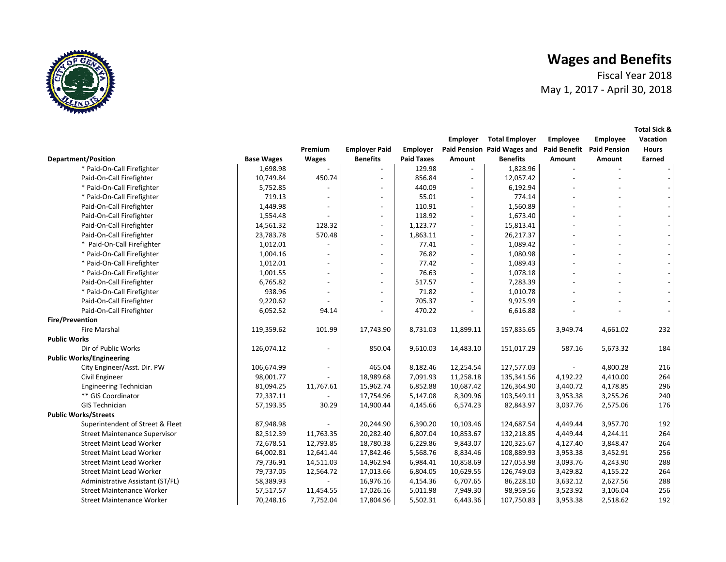

Fiscal Year 2018May 1, 2017 ‐ April 30, 2018

**Total Sick &** 

|                                      |                   |              |                          |                   | <b>Employer</b>          | <b>Total Employer</b>       | Employee            | Employee            | Vacation     |
|--------------------------------------|-------------------|--------------|--------------------------|-------------------|--------------------------|-----------------------------|---------------------|---------------------|--------------|
|                                      |                   | Premium      | <b>Employer Paid</b>     | <b>Employer</b>   |                          | Paid Pension Paid Wages and | <b>Paid Benefit</b> | <b>Paid Pension</b> | <b>Hours</b> |
| <b>Department/Position</b>           | <b>Base Wages</b> | <b>Wages</b> | <b>Benefits</b>          | <b>Paid Taxes</b> | Amount                   | <b>Benefits</b>             | Amount              | <b>Amount</b>       | Earned       |
| * Paid-On-Call Firefighter           | 1,698.98          |              | $\sim$                   | 129.98            |                          | 1,828.96                    |                     |                     |              |
| Paid-On-Call Firefighter             | 10,749.84         | 450.74       | $\overline{\phantom{a}}$ | 856.84            | $\overline{a}$           | 12,057.42                   |                     |                     |              |
| * Paid-On-Call Firefighter           | 5,752.85          |              | $\overline{\phantom{a}}$ | 440.09            | $\overline{a}$           | 6,192.94                    |                     |                     |              |
| * Paid-On-Call Firefighter           | 719.13            |              | $\overline{\phantom{a}}$ | 55.01             | $\overline{\phantom{a}}$ | 774.14                      |                     |                     |              |
| Paid-On-Call Firefighter             | 1,449.98          |              | $\overline{\phantom{a}}$ | 110.91            | $\overline{\phantom{a}}$ | 1,560.89                    |                     |                     |              |
| Paid-On-Call Firefighter             | 1,554.48          |              | $\overline{\phantom{a}}$ | 118.92            | $\overline{\phantom{a}}$ | 1,673.40                    |                     |                     |              |
| Paid-On-Call Firefighter             | 14,561.32         | 128.32       | $\overline{\phantom{a}}$ | 1,123.77          |                          | 15,813.41                   |                     |                     |              |
| Paid-On-Call Firefighter             | 23,783.78         | 570.48       | $\overline{\phantom{a}}$ | 1,863.11          | $\overline{\phantom{a}}$ | 26,217.37                   |                     |                     |              |
| * Paid-On-Call Firefighter           | 1,012.01          |              | $\overline{\phantom{a}}$ | 77.41             | $\overline{\phantom{a}}$ | 1,089.42                    |                     |                     |              |
| * Paid-On-Call Firefighter           | 1,004.16          |              | $\overline{\phantom{a}}$ | 76.82             | $\overline{\phantom{a}}$ | 1,080.98                    |                     |                     |              |
| * Paid-On-Call Firefighter           | 1,012.01          |              | $\overline{\phantom{a}}$ | 77.42             | $\overline{\phantom{a}}$ | 1,089.43                    |                     |                     |              |
| * Paid-On-Call Firefighter           | 1,001.55          |              | $\overline{\phantom{a}}$ | 76.63             |                          | 1,078.18                    |                     |                     |              |
| Paid-On-Call Firefighter             | 6,765.82          |              | $\overline{\phantom{a}}$ | 517.57            | $\overline{\phantom{a}}$ | 7,283.39                    |                     |                     |              |
| * Paid-On-Call Firefighter           | 938.96            |              | $\overline{\phantom{a}}$ | 71.82             |                          | 1,010.78                    |                     |                     |              |
| Paid-On-Call Firefighter             | 9,220.62          |              | $\overline{\phantom{a}}$ | 705.37            | $\overline{a}$           | 9,925.99                    |                     |                     |              |
| Paid-On-Call Firefighter             | 6,052.52          | 94.14        | $\overline{\phantom{a}}$ | 470.22            |                          | 6,616.88                    |                     |                     |              |
| <b>Fire/Prevention</b>               |                   |              |                          |                   |                          |                             |                     |                     |              |
| <b>Fire Marshal</b>                  | 119,359.62        | 101.99       | 17,743.90                | 8,731.03          | 11,899.11                | 157,835.65                  | 3,949.74            | 4,661.02            | 232          |
| <b>Public Works</b>                  |                   |              |                          |                   |                          |                             |                     |                     |              |
| Dir of Public Works                  | 126,074.12        |              | 850.04                   | 9,610.03          | 14,483.10                | 151,017.29                  | 587.16              | 5,673.32            | 184          |
| <b>Public Works/Engineering</b>      |                   |              |                          |                   |                          |                             |                     |                     |              |
| City Engineer/Asst. Dir. PW          | 106,674.99        |              | 465.04                   | 8,182.46          | 12,254.54                | 127,577.03                  |                     | 4,800.28            | 216          |
| Civil Engineer                       | 98,001.77         |              | 18,989.68                | 7,091.93          | 11,258.18                | 135,341.56                  | 4,192.22            | 4,410.00            | 264          |
| <b>Engineering Technician</b>        | 81,094.25         | 11,767.61    | 15,962.74                | 6,852.88          | 10,687.42                | 126,364.90                  | 3,440.72            | 4,178.85            | 296          |
| ** GIS Coordinator                   | 72,337.11         |              | 17,754.96                | 5,147.08          | 8,309.96                 | 103,549.11                  | 3,953.38            | 3,255.26            | 240          |
| <b>GIS Technician</b>                | 57,193.35         | 30.29        | 14,900.44                | 4,145.66          | 6,574.23                 | 82,843.97                   | 3,037.76            | 2,575.06            | 176          |
| <b>Public Works/Streets</b>          |                   |              |                          |                   |                          |                             |                     |                     |              |
| Superintendent of Street & Fleet     | 87,948.98         |              | 20,244.90                | 6,390.20          | 10,103.46                | 124,687.54                  | 4,449.44            | 3,957.70            | 192          |
| <b>Street Maintenance Supervisor</b> | 82,512.39         | 11,763.35    | 20,282.40                | 6,807.04          | 10,853.67                | 132,218.85                  | 4,449.44            | 4,244.11            | 264          |
| <b>Street Maint Lead Worker</b>      | 72,678.51         | 12,793.85    | 18,780.38                | 6,229.86          | 9,843.07                 | 120,325.67                  | 4,127.40            | 3,848.47            | 264          |
| <b>Street Maint Lead Worker</b>      | 64,002.81         | 12,641.44    | 17,842.46                | 5,568.76          | 8,834.46                 | 108,889.93                  | 3,953.38            | 3,452.91            | 256          |

Street Maint Lead Worker **19. 19.4. 19.52.00** 14,511.03 | 14,962.94 | 16,984.41 10,858.69 | 127,053.98 | 3,093.76 4,243.90 288 Street Maint Lead Worker **19, 2004.00 12,564.72** 17,013.66 6,804.05 10,629.55 304.03 3,429.82 4,155.22 264 Administrative Assistant (ST/FL) 58,389.93 ‐ 16, 4, 976.16 6,707.65 154.36 86,228.10 3, 2,627.56 632.12 288 Street Maintenance Worker **19th** 17,57 11,454.55 | 17,026.16 | 5,011.98 7,949.30 | 98,959.56 | 3,523.92 3,106.04 256 Street Maintenance Worker 70,248.16 7, 17, 752.04 5, 804.96 6,443.36 502.31 107,750.83 3,953.38 2,518.62 192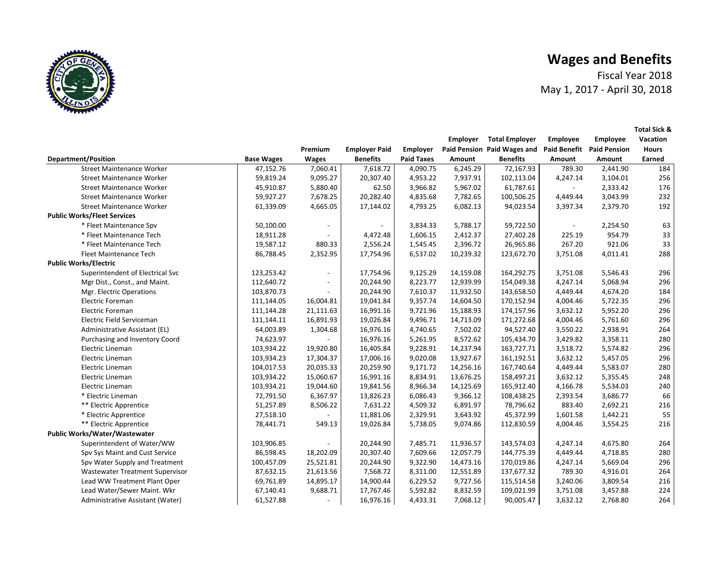**Employee Vacation** 

**Total Sick &** 

Fiscal Year 2018 May 1, 2017 ‐ April 30, 2018

 **Employer Total Employer Employee** 



|                                      |                   | Premium      | <b>Employer Paid</b>     | Employer          |           | Paid Pension Paid Wages and Paid Benefit Paid Pension |          |          | <b>Hours</b> |
|--------------------------------------|-------------------|--------------|--------------------------|-------------------|-----------|-------------------------------------------------------|----------|----------|--------------|
| <b>Department/Position</b>           | <b>Base Wages</b> | <b>Wages</b> | <b>Benefits</b>          | <b>Paid Taxes</b> | Amount    | <b>Benefits</b>                                       | Amount   | Amount   | Earned       |
| <b>Street Maintenance Worker</b>     | 47,152.76         | 7,060.41     | 7,618.72                 | 4,090.75          | 6,245.29  | 72,167.93                                             | 789.30   | 2,441.90 | 184          |
| <b>Street Maintenance Worker</b>     | 59,819.24         | 9,095.27     | 20,307.40                | 4,953.22          | 7,937.91  | 102,113.04                                            | 4,247.14 | 3,104.01 | 256          |
| <b>Street Maintenance Worker</b>     | 45,910.87         | 5,880.40     | 62.50                    | 3,966.82          | 5,967.02  | 61,787.61                                             | $\sim$   | 2,333.42 | 176          |
| <b>Street Maintenance Worker</b>     | 59,927.27         | 7,678.25     | 20,282.40                | 4,835.68          | 7,782.65  | 100,506.25                                            | 4,449.44 | 3,043.99 | 232          |
| <b>Street Maintenance Worker</b>     | 61,339.09         | 4,665.05     | 17,144.02                | 4,793.25          | 6,082.13  | 94,023.54                                             | 3,397.34 | 2,379.70 | 192          |
| <b>Public Works/Fleet Services</b>   |                   |              |                          |                   |           |                                                       |          |          |              |
| * Fleet Maintenance Spv              | 50,100.00         |              | $\overline{\phantom{a}}$ | 3,834.33          | 5,788.17  | 59,722.50                                             |          | 2,254.50 | 63           |
| * Fleet Maintenance Tech             | 18,911.28         |              | 4,472.48                 | 1,606.15          | 2,412.37  | 27,402.28                                             | 225.19   | 954.79   | 33           |
| * Fleet Maintenance Tech             | 19,587.12         | 880.33       | 2,556.24                 | 1,545.45          | 2,396.72  | 26,965.86                                             | 267.20   | 921.06   | 33           |
| Fleet Maintenance Tech               | 86,788.45         | 2,352.95     | 17,754.96                | 6,537.02          | 10,239.32 | 123,672.70                                            | 3,751.08 | 4,011.41 | 288          |
| <b>Public Works/Electric</b>         |                   |              |                          |                   |           |                                                       |          |          |              |
| Superintendent of Electrical Svc     | 123,253.42        |              | 17,754.96                | 9,125.29          | 14,159.08 | 164,292.75                                            | 3,751.08 | 5,546.43 | 296          |
| Mgr Dist., Const., and Maint.        | 112,640.72        |              | 20,244.90                | 8,223.77          | 12,939.99 | 154,049.38                                            | 4,247.14 | 5,068.94 | 296          |
| Mgr. Electric Operations             | 103,870.73        |              | 20,244.90                | 7,610.37          | 11,932.50 | 143,658.50                                            | 4,449.44 | 4,674.20 | 184          |
| Electric Foreman                     | 111,144.05        | 16,004.81    | 19,041.84                | 9,357.74          | 14,604.50 | 170,152.94                                            | 4,004.46 | 5,722.35 | 296          |
| <b>Electric Foreman</b>              | 111,144.28        | 21,111.63    | 16,991.16                | 9,721.96          | 15,188.93 | 174,157.96                                            | 3,632.12 | 5,952.20 | 296          |
| Electric Field Serviceman            | 111,144.11        | 16,891.93    | 19,026.84                | 9,496.71          | 14,713.09 | 171,272.68                                            | 4,004.46 | 5,761.60 | 296          |
| Administrative Assistant (EL)        | 64,003.89         | 1,304.68     | 16,976.16                | 4,740.65          | 7,502.02  | 94,527.40                                             | 3,550.22 | 2,938.91 | 264          |
| Purchasing and Inventory Coord       | 74,623.97         |              | 16,976.16                | 5,261.95          | 8,572.62  | 105,434.70                                            | 3,429.82 | 3,358.11 | 280          |
| Electric Lineman                     | 103,934.22        | 19,920.80    | 16,405.84                | 9,228.91          | 14,237.94 | 163,727.71                                            | 3,518.72 | 5,574.82 | 296          |
| Electric Lineman                     | 103,934.23        | 17,304.37    | 17,006.16                | 9,020.08          | 13,927.67 | 161,192.51                                            | 3,632.12 | 5,457.05 | 296          |
| Electric Lineman                     | 104,017.53        | 20,035.33    | 20,259.90                | 9,171.72          | 14,256.16 | 167,740.64                                            | 4,449.44 | 5,583.07 | 280          |
| Electric Lineman                     | 103,934.22        | 15,060.67    | 16,991.16                | 8,834.91          | 13,676.25 | 158,497.21                                            | 3,632.12 | 5,355.45 | 248          |
| Electric Lineman                     | 103,934.21        | 19,044.60    | 19,841.56                | 8,966.34          | 14,125.69 | 165,912.40                                            | 4,166.78 | 5,534.03 | 240          |
| * Electric Lineman                   | 72,791.50         | 6,367.97     | 13,826.23                | 6,086.43          | 9,366.12  | 108,438.25                                            | 2,393.54 | 3,686.77 | 66           |
| ** Electric Apprentice               | 51,257.89         | 8,506.22     | 7,631.22                 | 4,509.32          | 6,891.97  | 78,796.62                                             | 883.40   | 2,692.21 | 216          |
| * Electric Apprentice                | 27,518.10         |              | 11,881.06                | 2,329.91          | 3,643.92  | 45,372.99                                             | 1,601.58 | 1,442.21 | 55           |
| ** Electric Apprentice               | 78,441.71         | 549.13       | 19,026.84                | 5,738.05          | 9,074.86  | 112,830.59                                            | 4,004.46 | 3,554.25 | 216          |
| <b>Public Works/Water/Wastewater</b> |                   |              |                          |                   |           |                                                       |          |          |              |
| Superintendent of Water/WW           | 103,906.85        |              | 20,244.90                | 7,485.71          | 11,936.57 | 143,574.03                                            | 4,247.14 | 4,675.80 | 264          |
| Spv Sys Maint and Cust Service       | 86,598.45         | 18,202.09    | 20,307.40                | 7,609.66          | 12,057.79 | 144,775.39                                            | 4,449.44 | 4,718.85 | 280          |
| Spv Water Supply and Treatment       | 100,457.09        | 25,521.81    | 20,244.90                | 9,322.90          | 14,473.16 | 170,019.86                                            | 4,247.14 | 5,669.04 | 296          |
| Wastewater Treatment Supervisor      | 87,632.15         | 21,613.56    | 7,568.72                 | 8,311.00          | 12,551.89 | 137,677.32                                            | 789.30   | 4,916.01 | 264          |
| Lead WW Treatment Plant Oper         | 69,761.89         | 14,895.17    | 14,900.44                | 6,229.52          | 9,727.56  | 115,514.58                                            | 3,240.06 | 3,809.54 | 216          |
| Lead Water/Sewer Maint. Wkr          | 67,140.41         | 9,688.71     | 17,767.46                | 5,592.82          | 8,832.59  | 109,021.99                                            | 3,751.08 | 3,457.88 | 224          |
| Administrative Assistant (Water)     | 61,527.88         |              | 16,976.16                | 4,433.31          | 7,068.12  | 90,005.47                                             | 3,632.12 | 2,768.80 | 264          |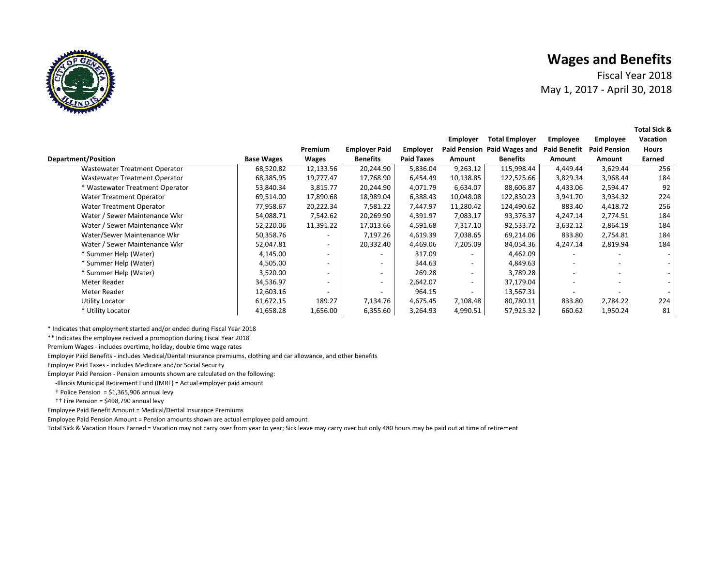**Department/Position** 

Fiscal Year 2018May 1, 2017 ‐ April 30, 2018

**Total Sick &** 

|                                 |                   |                |                          |                   | Employer  | <b>Total Employer</b>       | <b>Employee</b>     | <b>Employee</b>     | Vacation     |
|---------------------------------|-------------------|----------------|--------------------------|-------------------|-----------|-----------------------------|---------------------|---------------------|--------------|
|                                 |                   | <b>Premium</b> | <b>Employer Paid</b>     | Employer          |           | Paid Pension Paid Wages and | <b>Paid Benefit</b> | <b>Paid Pension</b> | <b>Hours</b> |
| าt/Position                     | <b>Base Wages</b> | <b>Wages</b>   | <b>Benefits</b>          | <b>Paid Taxes</b> | Amount    | <b>Benefits</b>             | Amount              | Amount              | Earned       |
| Wastewater Treatment Operator   | 68,520.82         | 12,133.56      | 20,244.90                | 5,836.04          | 9,263.12  | 115,998.44                  | 4,449.44            | 3,629.44            | 256          |
| Wastewater Treatment Operator   | 68,385.95         | 19,777.47      | 17,768.90                | 6,454.49          | 10,138.85 | 122,525.66                  | 3,829.34            | 3,968.44            | 184          |
| * Wastewater Treatment Operator | 53,840.34         | 3,815.77       | 20,244.90                | 4,071.79          | 6,634.07  | 88,606.87                   | 4,433.06            | 2,594.47            | 92           |
| Water Treatment Operator        | 69.514.00         | 17,890.68      | 18,989.04                | 6,388.43          | 10.048.08 | 122,830.23                  | 3,941.70            | 3,934.32            | 224          |
| Water Treatment Operator        | 77,958.67         | 20,222.34      | 7,581.22                 | 7,447.97          | 11,280.42 | 124,490.62                  | 883.40              | 4,418.72            | 256          |
| Water / Sewer Maintenance Wkr   | 54.088.71         | 7.542.62       | 20.269.90                | 4.391.97          | 7.083.17  | 93.376.37                   | 4.247.14            | 2.774.51            | 184          |
| Water / Sewer Maintenance Wkr   | 52,220.06         | 11,391.22      | 17,013.66                | 4,591.68          | 7,317.10  | 92,533.72                   | 3,632.12            | 2,864.19            | 184          |
| Water/Sewer Maintenance Wkr     | 50,358.76         |                | 7,197.26                 | 4,619.39          | 7,038.65  | 69,214.06                   | 833.80              | 2,754.81            | 184          |
| Water / Sewer Maintenance Wkr   | 52,047.81         |                | 20,332.40                | 4,469.06          | 7,205.09  | 84,054.36                   | 4,247.14            | 2,819.94            | 184          |
| * Summer Help (Water)           | 4,145.00          |                | $\overline{\phantom{0}}$ | 317.09            |           | 4,462.09                    |                     |                     |              |
| * Summer Help (Water)           | 4,505.00          |                | $\overline{\phantom{a}}$ | 344.63            |           | 4,849.63                    |                     |                     |              |
| * Summer Help (Water)           | 3.520.00          |                | $\overline{\phantom{a}}$ | 269.28            |           | 3,789.28                    |                     |                     |              |
|                                 |                   |                |                          |                   |           |                             |                     |                     |              |

Meter Reader | 34,536.97 - | - | 2,642.07 - | 37,179.04 | - - -Meter Reader | 12,603.16 - | - | 964.15 - | 13,567.31 | - - -Utility Locator 61,672.15 189.27 7, 4, 134.76 7,108.48 675.45 80,780.11 833.80 2,784.22 224 \* Utility Locator | 41,658.28 1,656.00 | 6,355.60 | 3,264.93 4,990.51 | 57,925.32 | 660.62 1,950.24 81

\* Indicates that employment started and/or ended during Fiscal Year 2018

\*\* Indicates the employee recived a promoption during Fiscal Year 2018

Premium Wages ‐ includes overtime, holiday, double time wage rates

Employer Paid Benefits ‐ includes Medical/Dental Insurance premiums, clothing and car allowance, and other benefits

Employer Paid Taxes ‐ includes Medicare and/or Social Security

Employer Paid Pension ‐ Pension amounts shown are calculated on the following:

‐Illinois Municipal Retirement Fund (IMRF) = Actual employer paid amount

 $\dagger$  Police Pension = \$1,365,906 annual levy

†† Fire Pension = \$498,790 annual levy

Employee Paid Benefit Amount = Medical/Dental Insurance Premiums

Employee Paid Pension Amount = Pension amounts shown are actual employee paid amount

Total Sick & Vacation Hours Earned = Vacation may not carry over from year to year; Sick leave may carry over but only 480 hours may be paid out at time of retirement